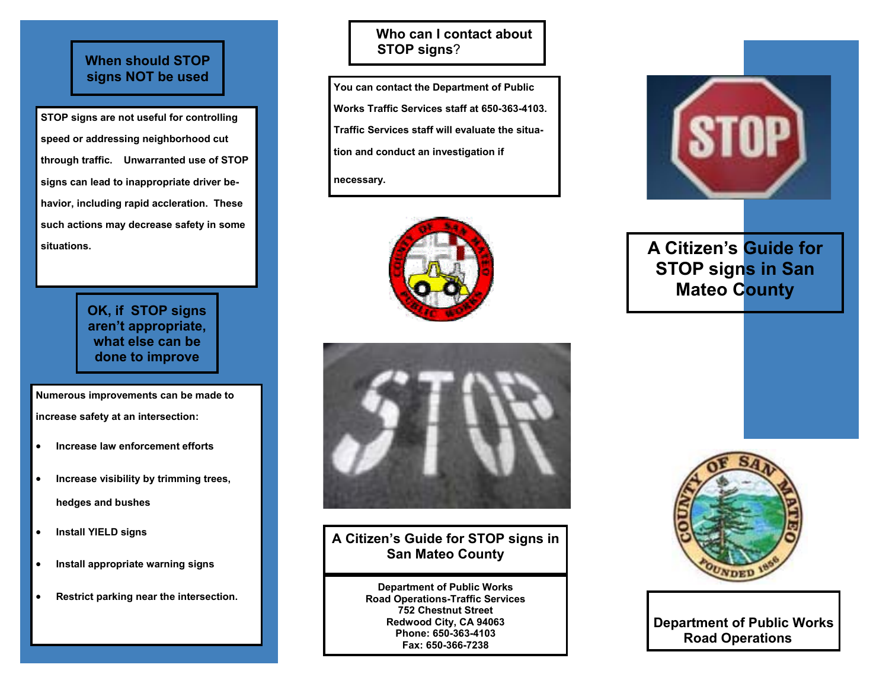#### **When should STOP signs NOT be used**

**STOP signs are not useful for controlling speed or addressing neighborhood cut through traffic. Unwarranted use of STOP signs can lead to inappropriate driver behavior, including rapid accleration. These such actions may decrease safety in some situations.** 

> **OK, if STOP signs aren't appropriate, what else can be done to improve**

**Numerous improvements can be made to increase safety at an intersection:** 

- •**Increase law enforcement efforts**
- •**Increase visibility by trimming trees,**

**hedges and bushes** 

- •**Install YIELD signs**
- •**Install appropriate warning signs**
- •**Restrict parking near the intersection.**

#### **HoWho can I contact about STOP signs?**

**You can contact the Department of Public Works Traffic Services staff at 650-363-4103. Traffic Services staff will evaluate the situation and conduct an investigation if** 

**necessary.** 





# **A Citizen's Guide for STOP signs in San Mateo County**

**Department of Public Works Road Operations-Traffic Services 752 Chestnut Street Redwood City, CA 94063 Phone: 650-363-4103 Fax: 650-366-7238** 



**A Citizen's Guide for STOP signs in San Mateo County** 



**Department of Public Works Road Operations**